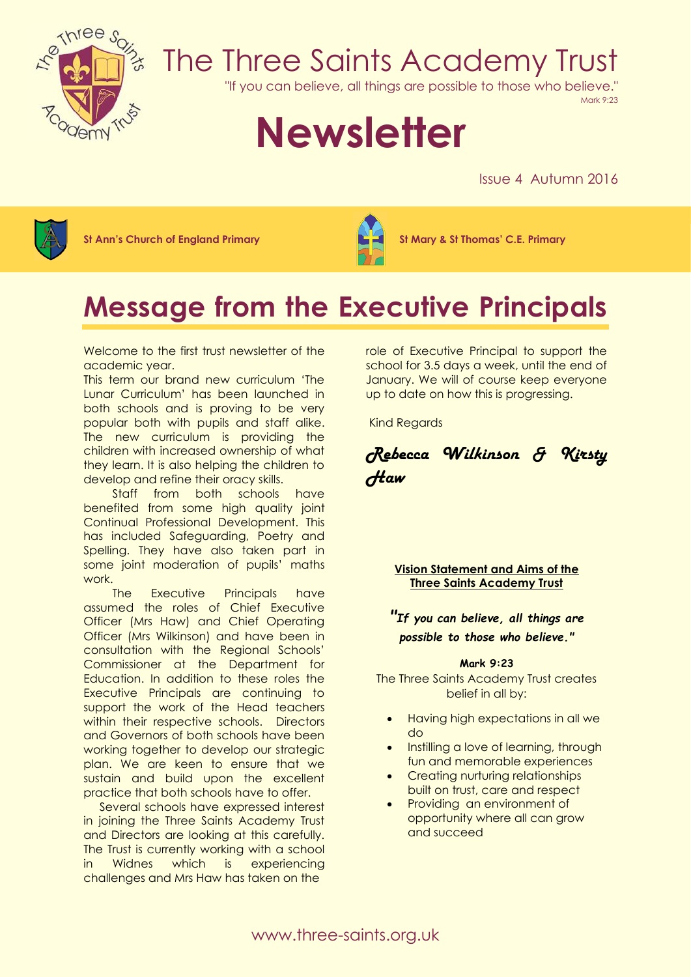

# The Three Saints Academy Trust

"If you can believe, all things are possible to those who believe."

Mark 9:23

# **Newsletter**

Issue 4 Autumn 2016



**St Ann's Church of England Primary St Mary & St Thomas' C.E. Primary**



# **Message from the Executive Principals**

Welcome to the first trust newsletter of the academic year.

This term our brand new curriculum 'The Lunar Curriculum' has been launched in both schools and is proving to be very popular both with pupils and staff alike. The new curriculum is providing the children with increased ownership of what they learn. It is also helping the children to develop and refine their oracy skills.

 Staff from both schools have benefited from some high quality joint Continual Professional Development. This has included Safeguarding, Poetry and Spelling. They have also taken part in some joint moderation of pupils' maths work.

 The Executive Principals have assumed the roles of Chief Executive Officer (Mrs Haw) and Chief Operating Officer (Mrs Wilkinson) and have been in consultation with the Regional Schools' Commissioner at the Department for Education. In addition to these roles the Executive Principals are continuing to support the work of the Head teachers within their respective schools. Directors and Governors of both schools have been working together to develop our strategic plan. We are keen to ensure that we sustain and build upon the excellent practice that both schools have to offer.

 Several schools have expressed interest in joining the Three Saints Academy Trust and Directors are looking at this carefully. The Trust is currently working with a school in Widnes which is experiencing challenges and Mrs Haw has taken on the

role of Executive Principal to support the school for 3.5 days a week, until the end of January. We will of course keep everyone up to date on how this is progressing.

Kind Regards

*Rebecca Wilkinson & Kirsty Haw*

**Vision Statement and Aims of the Three Saints Academy Trust**

*"If you can believe, all things are possible to those who believe."*

#### **Mark 9:23**

The Three Saints Academy Trust creates belief in all by:

- Having high expectations in all we do
- Instilling a love of learning, through fun and memorable experiences
- Creating nurturing relationships built on trust, care and respect
- Providing an environment of opportunity where all can grow and succeed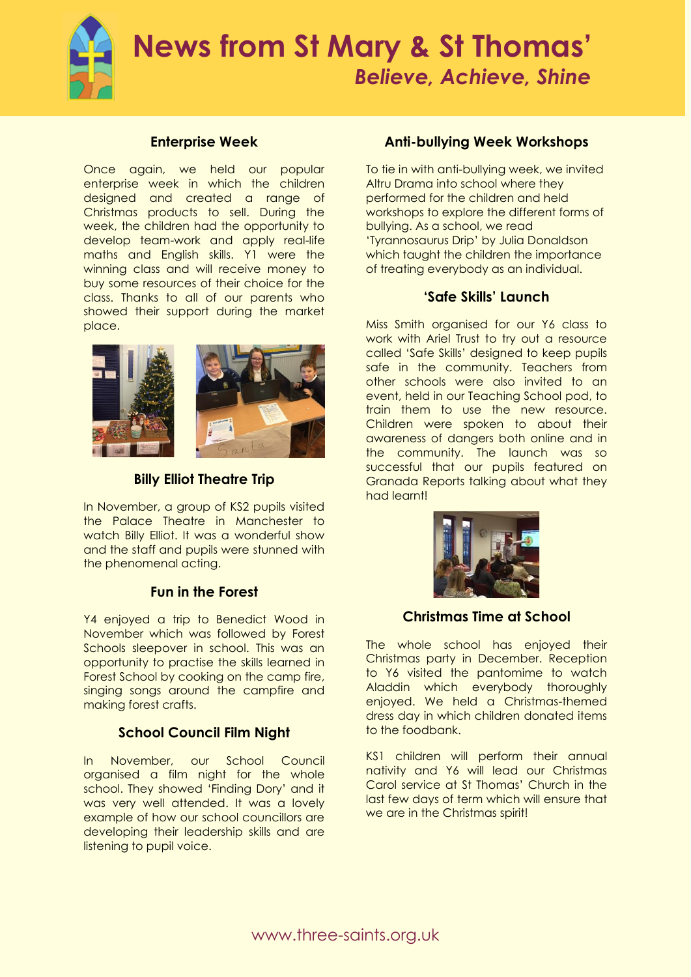

# **Enterprise Week**

Once again, we held our popular enterprise week in which the children designed and created a range of Christmas products to sell. During the week, the children had the opportunity to develop team-work and apply real-life maths and English skills. Y1 were the winning class and will receive money to buy some resources of their choice for the class. Thanks to all of our parents who showed their support during the market place.



**Billy Elliot Theatre Trip**

In November, a group of KS2 pupils visited the Palace Theatre in Manchester to watch Billy Elliot. It was a wonderful show and the staff and pupils were stunned with the phenomenal acting.

## **Fun in the Forest**

Y4 enjoyed a trip to Benedict Wood in November which was followed by Forest Schools sleepover in school. This was an opportunity to practise the skills learned in Forest School by cooking on the camp fire, singing songs around the campfire and making forest crafts.

# **School Council Film Night**

In November, our School Council organised a film night for the whole school. They showed 'Finding Dory' and it was very well attended. It was a lovely example of how our school councillors are developing their leadership skills and are listening to pupil voice.

# **Anti-bullying Week Workshops**

To tie in with anti-bullying week, we invited Altru Drama into school where they performed for the children and held workshops to explore the different forms of bullying. As a school, we read 'Tyrannosaurus Drip' by Julia Donaldson which taught the children the importance of treating everybody as an individual.

## **'Safe Skills' Launch**

Miss Smith organised for our Y6 class to work with Ariel Trust to try out a resource called 'Safe Skills' designed to keep pupils safe in the community. Teachers from other schools were also invited to an event, held in our Teaching School pod, to train them to use the new resource. Children were spoken to about their awareness of dangers both online and in the community. The launch was so successful that our pupils featured on Granada Reports talking about what they had learnt!



## **Christmas Time at School**

The whole school has enjoyed their Christmas party in December. Reception to Y6 visited the pantomime to watch Aladdin which everybody thoroughly enjoyed. We held a Christmas-themed dress day in which children donated items to the foodbank.

KS1 children will perform their annual nativity and Y6 will lead our Christmas Carol service at St Thomas' Church in the last few days of term which will ensure that we are in the Christmas spirit!